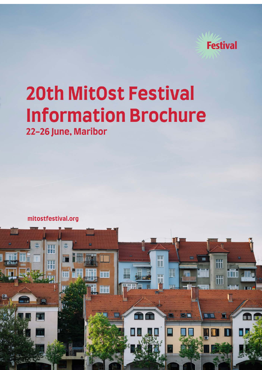

# **20th MitOst Festival Information Brochure** 22-26 June, Maribor

mitostfestival.org

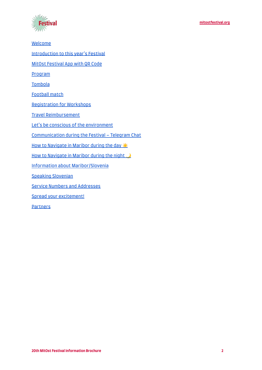

**[Welcome](#page-2-0)** [Introduction to this year's Festival](#page-2-1) [MitOst Festival App with QR Code](#page-3-0) [Program](#page-4-0) **[Tombola](#page-4-1)** [Football match](#page-4-2) [Registration for Workshops](#page-4-3) [Travel Reimbursement](#page-4-4) [Let's be conscious of the environment](#page-6-0) [Communication during the Festival – Telegram Chat](#page-6-1) [How to Navigate in Maribor during the day](#page-7-0) ☀️ How to Navigate in Maribor during the night [Information about Maribor/Slovenia](#page-9-0) [Speaking Slovenian](#page-9-1) [Service Numbers and Addresses](#page-10-0) [Spread your excitement!](#page-12-0) **[Partners](#page-12-1)**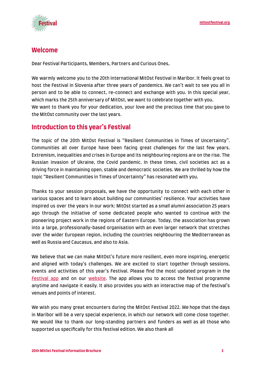

## <span id="page-2-0"></span>**Welcome**

Dear Festival Participants, Members, Partners and Curious Ones,

We warmly welcome you to the 20th International MitOst Festival in Maribor. It feels great to host the Festival in Slovenia after three years of pandemics. We can't wait to see you all in person and to be able to connect, re-connect and exchange with you. In this special year, which marks the 25th anniversary of MitOst, we want to celebrate together with you. We want to thank you for your dedication, your love and the precious time that you gave to the MitOst community over the last years.

# <span id="page-2-1"></span>**Introduction to this year's Festival**

The topic of the 20th MitOst Festival is "Resilient Communities in Times of Uncertainty". Communities all over Europe have been facing great challenges for the last few years. Extremism, inequalities and crises in Europe and its neighbouring regions are on the rise. The Russian invasion of Ukraine, the Covid pandemic. In these times, civil societies act as a driving force in maintaining open, stable and democratic societies. We are thrilled by how the topic "Resilient Communities in Times of Uncertainty" has resonated with you.

Thanks to your session proposals, we have the opportunity to connect with each other in various spaces and to learn about building our communities' resilience. Your activities have inspired us over the years in our work: MitOst started as a small alumni association 25 years ago through the initiative of some dedicated people who wanted to continue with the pioneering project work in the regions of Eastern Europe. Today, the association has grown into a large, professionally-based organisation with an even larger network that stretches over the wider European region, including the countries neighbouring the Mediterranean as well as Russia and Caucasus, and also to Asia.

We believe that we can make MitOst's future more resilient, even more inspiring, energetic and aligned with today's challenges. We are excited to start together through sessions, events and activities of this year's Festival. Please find the most updated program in the [Festival app](https://mitost.lineupr.com/20th-mitost-festival/) and on our [website](https://festival.mitost.org/). The app allows you to access the festival programme anytime and navigate it easily. It also provides you with an interactive map of the festival's venues and points of interest.

We wish you many great encounters during the MitOst Festival 2022. We hope that the days in Maribor will be a very special experience, in which our network will come close together. We would like to thank our long-standing partners and funders as well as all those who supported us specifically for this festival edition. We also thank all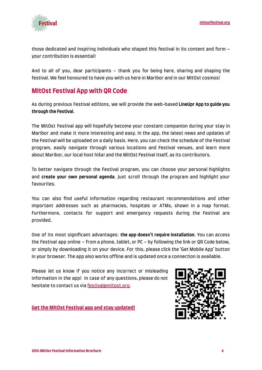

those dedicated and inspiring individuals who shaped this festival in its content and form – your contribution is essential!

And to all of you, dear participants – thank you for being here, sharing and shaping the festival. We feel honoured to have you with us here in Maribor and in our MitOst cosmos!

# <span id="page-3-0"></span>**MitOst Festival App with QR Code**

As during previous Festival editions, we will provide the web-based **LineUpr App to guide you through the Festival**.

The MitOst Festival app will hopefully become your constant companion during your stay in Maribor and make it more interesting and easy. In the app, the latest news and updates of the Festival will be uploaded on a daily basis. Here, you can check the schedule of the Festival program, easily navigate through various locations and Festival venues, and learn more about Maribor, our local host hiša! and the MitOst Festival itself, as its contributors.

To better navigate through the Festival program, you can choose your personal highlights and **create your own personal agenda**. Just scroll through the program and highlight your favourites.

You can also find useful information regarding restaurant recommendations and other important addresses such as pharmacies, hospitals or ATMs, shown in a map format. Furthermore, contacts for support and emergency requests during the Festival are provided.

One of its most significant advantages: **the app doesn't require installation**. You can access the Festival app online – from a phone, tablet, or PC – by following the link or QR Code below, or simply by downloading it on your device. For this, please click the 'Get Mobile App' button in your browser. The app also works offline and is updated once a connection is available.

Please let us know if you notice any incorrect or misleading information in the app! In case of any questions, please do not hesitate to contact us via [festival@mitost.org.](mailto:festival@mitost.org)



**[Get the MitOst Festival app and stay updated!](https://mitost.lineupr.com/20th-mitost-festival/)**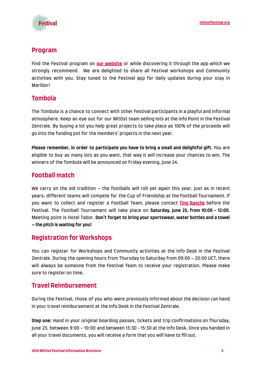



## <span id="page-4-0"></span>**Program**

Find the Festival program on **[our website](https://mitostfestival.org/)** or while discovering it through the app which we strongly recommend. We are delighted to share all Festival workshops and Community activities with you. Stay tuned to the Festival app for daily updates during your stay in Maribor!

# <span id="page-4-1"></span>**Tombola**

The Tombola is a chance to connect with other Festival participants in a playful and informal atmosphere. Keep an eye out for our MitOst team selling lots at the Info Point in the Festival Zentrale. By buying a lot you help great projects to take place as 100% of the proceeds will go into the funding pot for the members' projects in the next year.

**Please remember, in order to participate you have to bring a small and delightful gift.** You are eligible to buy as many lots as you want, that way it will increase your chances to win. The winners of the Tombola will be announced on Friday evening, June 24.

# <span id="page-4-2"></span>**Football match**

We carry on the old tradition – the footballs will roll yet again this year. Just as in recent years, different teams will compete for the Cup of Friendship at the Football Tournament. If you want to collect and register a Football Team, please contact **[Tino Rasche](mailto:tinorasche@gmx.de)** before the Festival. The Football Tournament will take place on **Saturday, June 25, from 10:00 - 12:00**. Meeting point is Hotel Tabor. **Don't forget to bring your sportswear, water bottles and a towel – the pitch is waiting for you!**

# <span id="page-4-3"></span>**Registration for Workshops**

You can register for Workshops and Community activities at the Info Desk in the Festival Zentrale. During the opening hours from Thursday to Saturday from 09:00 – 20:00 UCT, there will always be someone from the Festival Team to receive your registration. Please make sure to register on time.

## <span id="page-4-4"></span>**Travel Reimbursement**

During the Festival, those of you who were previously informed about the decision can hand in your travel reimbursement at the Info Desk in the Festival Zentrale.

**Step one:** Hand in your original boarding passes, tickets and trip confirmations on Thursday, June 23, between 9:00 - 10:00 and between 13:30 - 15:30 at the Info Desk. Once you handed in all your travel documents, you will receive a form that you will have to fill out.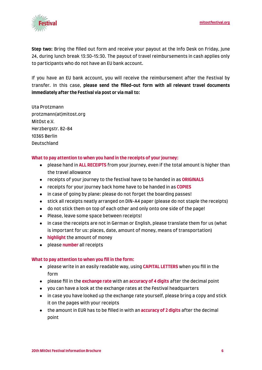

**Step two:** Bring the filled out form and receive your payout at the Info Desk on Friday, June 24, during lunch break 13:30-15:30. The payout of travel reimbursements in cash applies only to participants who do not have an EU bank account.

If you have an EU bank account, you will receive the reimbursement after the Festival by transfer. In this case, **please send the filled-out form with all relevant travel documents immediately after the Festival via post or via mail to:**

Uta Protzmann protzmann(at)mitost.org MitOst e.V. Herzbergstr. 82-84 10365 Berlin Deutschland

#### **What to pay attention to when you hand in the receipts of your journey:**

- please hand in **ALL RECEIPTS** from your journey, even if the total amount is higher than the travel allowance
- receipts of your journey to the festival have to be handed in as **ORIGINALS**
- receipts for your journey back home have to be handed in as **COPIES**
- in case of going by plane: please do not forget the boarding passes!
- stick all receipts neatly arranged on DIN-A4 paper (please do not staple the receipts)
- do not stick them on top of each other and only onto one side of the page!
- Please, leave some space between receipts!
- in case the receipts are not in German or English, please translate them for us (what is important for us: places, date, amount of money, means of transportation)
- **highlight** the amount of money
- please **number** all receipts

#### **What to pay attention to when you fill in the form:**

- please write in an easily readable way, using **CAPITAL LETTERS** when you fill in the form
- please fill in the **exchange rate** with an **accuracy of 4 digits** after the decimal point
- you can have a look at the exchange rates at the Festival headquarters
- in case you have looked up the exchange rate yourself, please bring a copy and stick it on the pages with your receipts
- the amount in EUR has to be filled in with an **accuracy of 2 digits** after the decimal point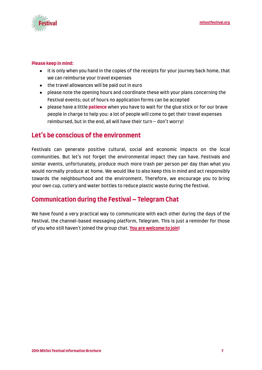

#### **Please keep in mind:**

- it is only when you hand in the copies of the receipts for your journey back home, that we can reimburse your travel expenses
- the travel allowances will be paid out in euro
- please note the opening hours and coordinate these with your plans concerning the Festival events; out of hours no application forms can be accepted
- please have a little **patience** when you have to wait for the glue stick or for our brave people in charge to help you: a lot of people will come to get their travel expenses reimbursed, but in the end, all will have their  $turn - don't worry!$

## <span id="page-6-0"></span>**Let's be conscious of the environment**

Festivals can generate positive cultural, social and economic impacts on the local communities. But let's not forget the environmental impact they can have. Festivals and similar events, unfortunately, produce much more trash per person per day than what you would normally produce at home. We would like to also keep this in mind and act responsibly towards the neighbourhood and the environment. Therefore, we encourage you to bring your own cup, cutlery and water bottles to reduce plastic waste during the festival.

# <span id="page-6-1"></span>**Communication during the Festival – Telegram Chat**

We have found a very practical way to communicate with each other during the days of the Festival, the channel-based messaging platform, Telegram. This is just a reminder for those of you who still haven't joined the group chat. **[You are welcome to join!](https://t.me/+Sgg58SWxYf1mNWJk)**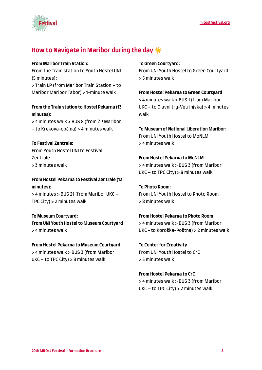

# <span id="page-7-0"></span>**How to Navigate in Maribor during the day**☀️

#### **From Maribor Train Station:**

From the Train station to Youth Hostel UNI (5 minutes):

> Train LP (from Maribor Train Station – to Maribor Maribor Tabor) > 1-minute walk

### **From the Train station to Hostel Pekarna (13 minutes):**

> 4 minutes walk > BUS 8 (from ŽP Maribor – to Krekova-občina) > 4 minutes walk

### **To Festival Zentrale:**

From Youth Hostel UNI to Festival Zentrale: > 3 minutes walk

## **From Hostel Pekarna to Festival Zentrale (12 minutes):**

> 4 minutes > BUS 21 (from Maribor UKC – TPC City) > 2 minutes walk

### **To Museum Courtyard:**

**From UNI Youth Hostel to Museum Courtyard** > 4 minutes walk

# **From Hostel Pekarna to Museum Courtyard**

> 4 minutes walk > BUS 3 (from Maribor UKC – to TPC City) > 8 minutes walk

#### **To Green Courtyard:**

walk

From UNI Youth Hostel to Green Courtyard > 5 minutes walk

## **From Hostel Pekarna to Green Courtyard** > 4 minutes walk > BUS 1 (from Maribor UKC – to Glavni trg-Vetrinjska) > 4 minutes

## **To Museum of National Liberation Maribor:** From UNI Youth Hostel to MoNLM

> 4 minutes walk

#### **From Hostel Pekarna to MoNLM**

> 4 minutes walk > BUS 3 (from Maribor UKC – to TPC City) > 8 minutes walk

## **To Photo Room:** From UNI Youth Hostel to Photo Room > 8 minutes walk

## **From Hostel Pekarna to Photo Room**

> 4 minutes walk > BUS 3 (from Maribor UKC - to Koroška-Poštna) > 2 minutes walk

**To Center for Creativity** From UNI Youth Hostel to CrC > 5 minutes walk

# **From Hostel Pekarna to CrC**

> 4 minutes walk > BUS 3 (from Maribor UKC – to TPC City) > 2 minutes walk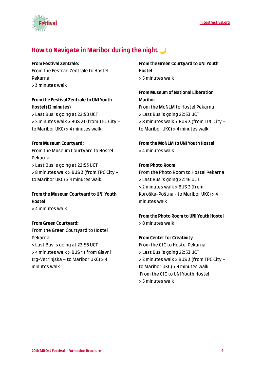



# <span id="page-8-0"></span>**How to Navigate in Maribor during the night**

#### **From Festival Zentrale:**

From the Festival Zentrale to Hostel Pekarna > 3 minutes walk

## **From the Festival Zentrale to UNI Youth Hostel (12 minutes)**

> Last Bus is going at 22:50 UCT > 2 minutes walk > BUS 21 (from TPC City – to Maribor UKC) > 4 minutes walk

## **From Museum Courtyard:**

From the Museum Courtyard to Hostel Pekarna > Last Bus is going at 22:53 UCT > 8 minutes walk > BUS 3 (from TPC City – to Maribor UKC) > 4 minutes walk

# **From the Museum Courtyard to UNI Youth Hostel**

> 4 minutes walk

### **From Green Courtyard:**

From the Green Courtyard to Hostel Pekarna

> Last Bus is going at 22:56 UCT > 4 minutes walk > BUS 1 ( from Glavni trg-Vetrinjska – to Maribor UKC) > 4 minutes walk

**From the Green Courtyard to UNI Youth Hostel** > 5 minutes walk

## **From Museum of National Liberation Maribor** From the MoNLM to Hostel Pekarna

> Last Bus is going 22:53 UCT > 8 minutes walk > BUS 3 (from TPC City – to Maribor UKC) > 4 minutes walk

**From the MoNLM to UNI Youth Hostel** > 4 minutes walk

### **From Photo Room**

From the Photo Room to Hostel Pekarna > Last Bus is going 22:46 UCT > 2 minutes walk > BUS 3 (from Koroška-Poštna - to Maribor UKC) > 4 minutes walk

**From the Photo Room to UNI Youth Hostel** > 8 minutes walk

### **From Center for Creativity**

From the CfC to Hostel Pekarna > Last Bus is going 22:53 UCT > 2 minutes walk > BUS 3 (from TPC City – to Maribor UKC) > 4 minutes walk From the CfC to UNI Youth Hostel > 5 minutes walk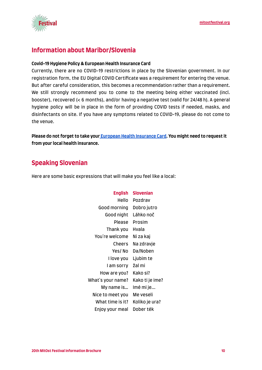



# <span id="page-9-0"></span>**Information about Maribor/Slovenia**

#### **Covid-19 Hygiene Policy & European Health Insurance Card**

Currently, there are no COVID-19 restrictions in place by the Slovenian government. In our registration form, the EU Digital COVID Certificate was a requirement for entering the venue. But after careful consideration, this becomes a recommendation rather than a requirement. We still strongly recommend you to come to the meeting being either vaccinated (incl. booster), recovered (< 6 months), and/or having a negative test (valid for 24/48 h). A general hygiene policy will be in place in the form of providing COVID tests if needed, masks, and disinfectants on site. If you have any symptoms related to COVID-19, please do not come to the venue.

**Please do not forget to take your [European Health Insurance Card.](https://newslettertogo.com/3ld7hg1f-tukqbfth-wjef138i-s6t) You might need to request it from your local health insurance.**

# <span id="page-9-1"></span>**Speaking Slovenian**

Here are some basic expressions that will make you feel like a local:

| <b>English</b>    | <b>Slovenian</b> |
|-------------------|------------------|
| Hello             | Pozdrav          |
| Good morning      | Dobro jutro      |
| Good night        | Láhko noč        |
| Please            | Prosim           |
| Thank you         | Hvala            |
| You're welcome    | Ni za kaj        |
| Cheers            | Na zdravje       |
| Yes/ No           | Da/Noben         |
| I love you        | Ljubim te        |
| I am sorry        | žal mi           |
| How are you?      | Kako si?         |
| What's your name? | Kako ti je ime?  |
| My name is        | lmé mi je        |
| Nice to meet you  | Me veseli        |
| What time is it?  | Koliko je ura?   |
| Enjoy your meal   | Dober ték        |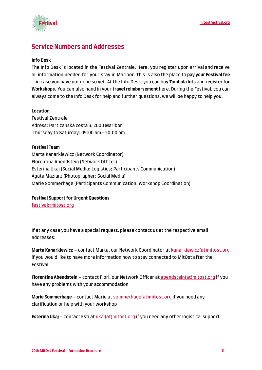

# <span id="page-10-0"></span>**Service Numbers and Addresses**

#### **Info Desk**

The Info Desk is located in the Festival Zentrale. Here, you register upon arrival and receive all information needed for your stay in Maribor. This is also the place to **pay your Festival fee** – in case you have not done so yet. At the Info Desk, you can buy **Tombola lots** and **register for Workshops**. You can also hand in your **travel reimbursement** here. During the Festival, you can always come to the Info Desk for help and further questions, we will be happy to help you.

#### **Location**

Festival Zentrale Adress: Partizanska cesta 3, 2000 Maribor Thursday to Saturday: 09:00 am - 20:00 pm

#### **Festival Team**

Marta Kanarkiewicz (Network Coordinator) Florentina Abendstein (Network Officer) Esterina Ukaj (Social Media; Logistics; Participants Communication) Agata Maziarz (Photographer; Social Media) Marie Sommerhage (Participants Communication; Workshop Coordination)

#### **Festival Support for Urgent Questions**

[festival@mitost.org](mailto:festival@mitost.org)

If at any case you have a special request, please contact us at the respective email addresses:

**Marta Kanarkiewicz** – contact Marta, our Network Coordinator at [kanarkiewicz\(at\)mitost.org](mailto:kanarkiewicz@mitost.org) if you would like to have more information how to stay connected to MitOst after the Festival

**Florentina Abendstein** – contact Flori, our Network Officer at [abendstein\(at\)mitost.org](mailto:abendstein@mitost.org) if you have any problems with your accommodation

**Marie Sommerhage** – contact Marie at [sommerhage\(at\)mitost.org](mailto:sommerhage@mitost.org) if you need any clarification or help with your workshop

**Esterina Ukaj** – contact Esti at *[ukaj\(at\)mitost.org](mailto:ukaj@mitost.org)* if you need any other logistical support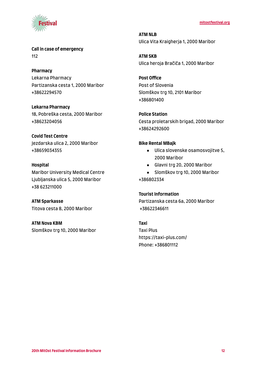



**Call in case of emergency** 112

**Pharmacy** Lekarna Pharmacy Partizanska cesta 1, 2000 Maribor +38622294570

**Lekarna Pharmacy** 18, Pobreška cesta, 2000 Maribor +38623204056

**Covid Test Centre** Jezdarska ulica 2, 2000 Maribor +38659034355

**Hospital** Maribor University Medical Centre Ljubljanska ulica 5, 2000 Maribor +38 623211000

**ATM Sparkasse** Titova cesta 8, 2000 Maribor

**ATM Nova KBM** Slomškov trg 10, 2000 Maribor **ATM NLB** Ulica Vita Kraigherja 1, 2000 Maribor

**ATM SKB** Ulica heroja Bračiča 1, 2000 Maribor

**Post Office** Post of Slovenia Slomškov trg 10, 2101 Maribor +386801400

**Police Station** Cesta proletarskih brigad, 2000 Maribor +38624292600

#### **Bike Rental MBajk**

- Ulica slovenske osamosvojitve 5, 2000 Maribor
- Glavni trg 20, 2000 Maribor
- Slomškov trg 10, 2000 Maribor +386802334

#### **Tourist Information**

Partizanska cesta 6a, 2000 Maribor +38622346611

#### **Taxi**

Taxi Plus https://taxi-plus.com/ Phone: +386801112